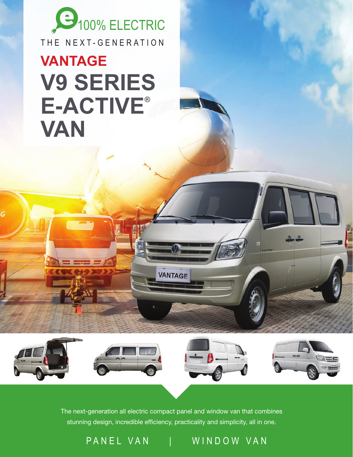

## **V9 SERIES E-ACTIVE® VAN VANTAGE**



**VANTAGE** 

PANEL VAN | WINDOW VAN